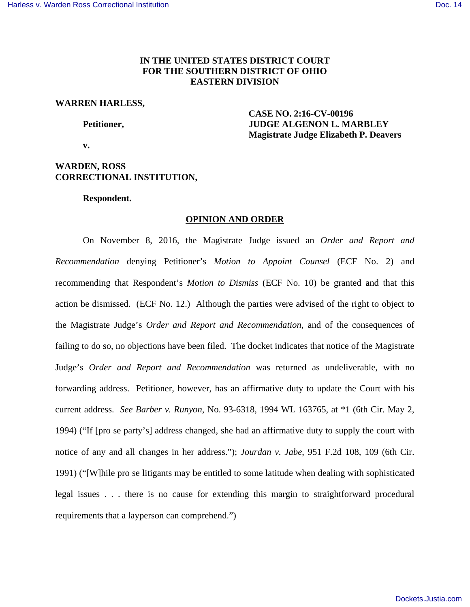# **IN THE UNITED STATES DISTRICT COURT FOR THE SOUTHERN DISTRICT OF OHIO EASTERN DIVISION**

#### **WARREN HARLESS,**

 **CASE NO. 2:16-CV-00196 Petitioner, JUDGE ALGENON L. MARBLEY Magistrate Judge Elizabeth P. Deavers** 

 **v.** 

# **WARDEN, ROSS CORRECTIONAL INSTITUTION,**

#### **Respondent.**

### **OPINION AND ORDER**

 On November 8, 2016, the Magistrate Judge issued an *Order and Report and Recommendation* denying Petitioner's *Motion to Appoint Counsel* (ECF No. 2) and recommending that Respondent's *Motion to Dismiss* (ECF No. 10) be granted and that this action be dismissed. (ECF No. 12.) Although the parties were advised of the right to object to the Magistrate Judge's *Order and Report and Recommendation*, and of the consequences of failing to do so, no objections have been filed. The docket indicates that notice of the Magistrate Judge's *Order and Report and Recommendation* was returned as undeliverable, with no forwarding address. Petitioner, however, has an affirmative duty to update the Court with his current address. *See Barber v. Runyon*, No. 93-6318, 1994 WL 163765, at \*1 (6th Cir. May 2, 1994) ("If [pro se party's] address changed, she had an affirmative duty to supply the court with notice of any and all changes in her address."); *Jourdan v. Jabe*, 951 F.2d 108, 109 (6th Cir. 1991) ("[W]hile pro se litigants may be entitled to some latitude when dealing with sophisticated legal issues . . . there is no cause for extending this margin to straightforward procedural requirements that a layperson can comprehend.")